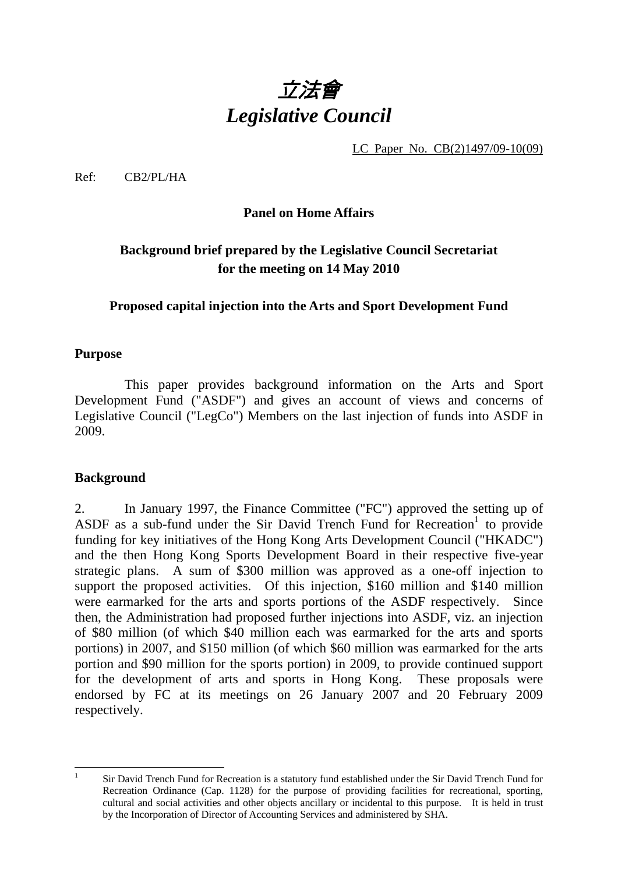

LC Paper No. CB(2)1497/09-10(09)

Ref: CB2/PL/HA

### **Panel on Home Affairs**

# **Background brief prepared by the Legislative Council Secretariat for the meeting on 14 May 2010**

#### **Proposed capital injection into the Arts and Sport Development Fund**

#### **Purpose**

1. This paper provides background information on the Arts and Sport Development Fund ("ASDF") and gives an account of views and concerns of Legislative Council ("LegCo") Members on the last injection of funds into ASDF in 2009.

#### **Background**

2. In January 1997, the Finance Committee ("FC") approved the setting up of ASDF as a sub-fund under the Sir David Trench Fund for Recreation<sup>1</sup> to provide funding for key initiatives of the Hong Kong Arts Development Council ("HKADC") and the then Hong Kong Sports Development Board in their respective five-year strategic plans. A sum of \$300 million was approved as a one-off injection to support the proposed activities. Of this injection, \$160 million and \$140 million were earmarked for the arts and sports portions of the ASDF respectively. Since then, the Administration had proposed further injections into ASDF, viz. an injection of \$80 million (of which \$40 million each was earmarked for the arts and sports portions) in 2007, and \$150 million (of which \$60 million was earmarked for the arts portion and \$90 million for the sports portion) in 2009, to provide continued support for the development of arts and sports in Hong Kong. These proposals were endorsed by FC at its meetings on 26 January 2007 and 20 February 2009 respectively.

 $\frac{1}{1}$ 

Sir David Trench Fund for Recreation is a statutory fund established under the Sir David Trench Fund for Recreation Ordinance (Cap. 1128) for the purpose of providing facilities for recreational, sporting, cultural and social activities and other objects ancillary or incidental to this purpose. It is held in trust by the Incorporation of Director of Accounting Services and administered by SHA.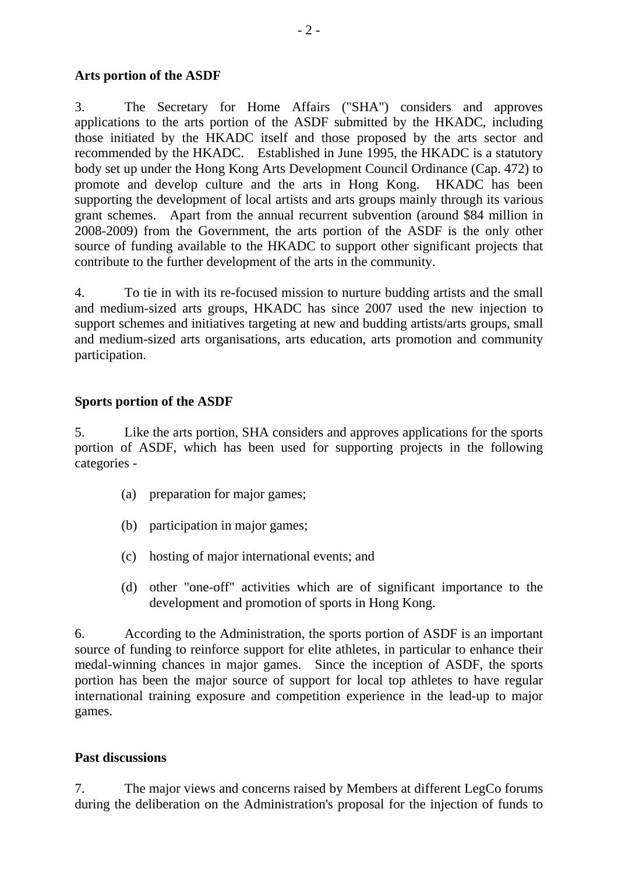### **Arts portion of the ASDF**

3. The Secretary for Home Affairs ("SHA") considers and approves applications to the arts portion of the ASDF submitted by the HKADC, including those initiated by the HKADC itself and those proposed by the arts sector and recommended by the HKADC. Established in June 1995, the HKADC is a statutory body set up under the Hong Kong Arts Development Council Ordinance (Cap. 472) to promote and develop culture and the arts in Hong Kong. HKADC has been supporting the development of local artists and arts groups mainly through its various grant schemes. Apart from the annual recurrent subvention (around \$84 million in 2008-2009) from the Government, the arts portion of the ASDF is the only other source of funding available to the HKADC to support other significant projects that contribute to the further development of the arts in the community.

4. To tie in with its re-focused mission to nurture budding artists and the small and medium-sized arts groups, HKADC has since 2007 used the new injection to support schemes and initiatives targeting at new and budding artists/arts groups, small and medium-sized arts organisations, arts education, arts promotion and community participation.

#### **Sports portion of the ASDF**

5. Like the arts portion, SHA considers and approves applications for the sports portion of ASDF, which has been used for supporting projects in the following categories -

- (a) preparation for major games;
- (b) participation in major games;
- (c) hosting of major international events; and
- (d) other "one-off" activities which are of significant importance to the development and promotion of sports in Hong Kong.

6. According to the Administration, the sports portion of ASDF is an important source of funding to reinforce support for elite athletes, in particular to enhance their medal-winning chances in major games. Since the inception of ASDF, the sports portion has been the major source of support for local top athletes to have regular international training exposure and competition experience in the lead-up to major games.

#### **Past discussions**

7. The major views and concerns raised by Members at different LegCo forums during the deliberation on the Administration's proposal for the injection of funds to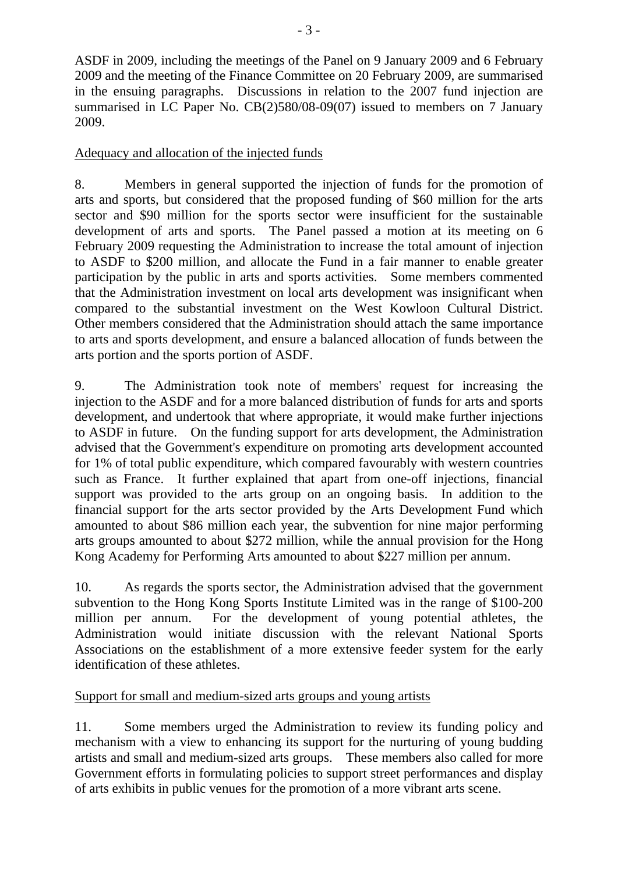ASDF in 2009, including the meetings of the Panel on 9 January 2009 and 6 February 2009 and the meeting of the Finance Committee on 20 February 2009, are summarised in the ensuing paragraphs. Discussions in relation to the 2007 fund injection are summarised in LC Paper No. CB(2)580/08-09(07) issued to members on 7 January 2009.

## Adequacy and allocation of the injected funds

8. Members in general supported the injection of funds for the promotion of arts and sports, but considered that the proposed funding of \$60 million for the arts sector and \$90 million for the sports sector were insufficient for the sustainable development of arts and sports. The Panel passed a motion at its meeting on 6 February 2009 requesting the Administration to increase the total amount of injection to ASDF to \$200 million, and allocate the Fund in a fair manner to enable greater participation by the public in arts and sports activities. Some members commented that the Administration investment on local arts development was insignificant when compared to the substantial investment on the West Kowloon Cultural District. Other members considered that the Administration should attach the same importance to arts and sports development, and ensure a balanced allocation of funds between the arts portion and the sports portion of ASDF.

9. The Administration took note of members' request for increasing the injection to the ASDF and for a more balanced distribution of funds for arts and sports development, and undertook that where appropriate, it would make further injections to ASDF in future. On the funding support for arts development, the Administration advised that the Government's expenditure on promoting arts development accounted for 1% of total public expenditure, which compared favourably with western countries such as France. It further explained that apart from one-off injections, financial support was provided to the arts group on an ongoing basis. In addition to the financial support for the arts sector provided by the Arts Development Fund which amounted to about \$86 million each year, the subvention for nine major performing arts groups amounted to about \$272 million, while the annual provision for the Hong Kong Academy for Performing Arts amounted to about \$227 million per annum.

10. As regards the sports sector, the Administration advised that the government subvention to the Hong Kong Sports Institute Limited was in the range of \$100-200 million per annum. For the development of young potential athletes, the Administration would initiate discussion with the relevant National Sports Associations on the establishment of a more extensive feeder system for the early identification of these athletes.

## Support for small and medium-sized arts groups and young artists

11. Some members urged the Administration to review its funding policy and mechanism with a view to enhancing its support for the nurturing of young budding artists and small and medium-sized arts groups. These members also called for more Government efforts in formulating policies to support street performances and display of arts exhibits in public venues for the promotion of a more vibrant arts scene.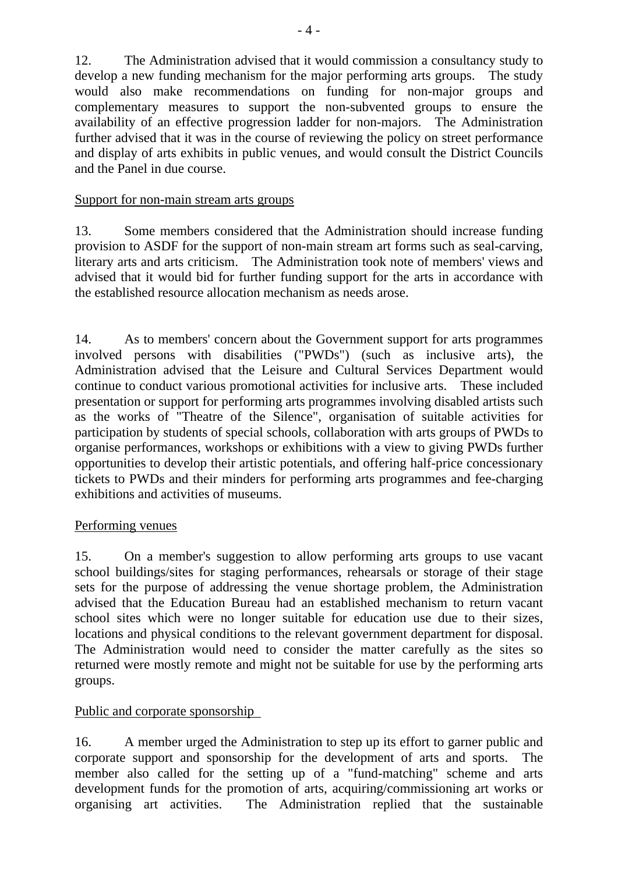12. The Administration advised that it would commission a consultancy study to develop a new funding mechanism for the major performing arts groups. The study would also make recommendations on funding for non-major groups and complementary measures to support the non-subvented groups to ensure the availability of an effective progression ladder for non-majors. The Administration further advised that it was in the course of reviewing the policy on street performance and display of arts exhibits in public venues, and would consult the District Councils and the Panel in due course.

## Support for non-main stream arts groups

13. Some members considered that the Administration should increase funding provision to ASDF for the support of non-main stream art forms such as seal-carving, literary arts and arts criticism. The Administration took note of members' views and advised that it would bid for further funding support for the arts in accordance with the established resource allocation mechanism as needs arose.

14. As to members' concern about the Government support for arts programmes involved persons with disabilities ("PWDs") (such as inclusive arts), the Administration advised that the Leisure and Cultural Services Department would continue to conduct various promotional activities for inclusive arts. These included presentation or support for performing arts programmes involving disabled artists such as the works of "Theatre of the Silence", organisation of suitable activities for participation by students of special schools, collaboration with arts groups of PWDs to organise performances, workshops or exhibitions with a view to giving PWDs further opportunities to develop their artistic potentials, and offering half-price concessionary tickets to PWDs and their minders for performing arts programmes and fee-charging exhibitions and activities of museums.

## Performing venues

15. On a member's suggestion to allow performing arts groups to use vacant school buildings/sites for staging performances, rehearsals or storage of their stage sets for the purpose of addressing the venue shortage problem, the Administration advised that the Education Bureau had an established mechanism to return vacant school sites which were no longer suitable for education use due to their sizes, locations and physical conditions to the relevant government department for disposal. The Administration would need to consider the matter carefully as the sites so returned were mostly remote and might not be suitable for use by the performing arts groups.

## Public and corporate sponsorship

16. A member urged the Administration to step up its effort to garner public and corporate support and sponsorship for the development of arts and sports. The member also called for the setting up of a "fund-matching" scheme and arts development funds for the promotion of arts, acquiring/commissioning art works or organising art activities. The Administration replied that the sustainable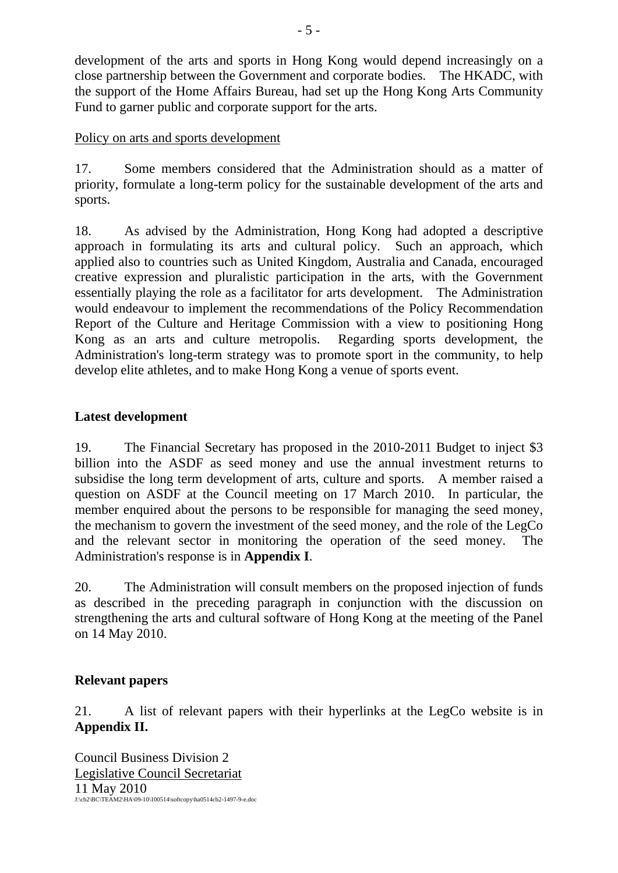development of the arts and sports in Hong Kong would depend increasingly on a close partnership between the Government and corporate bodies. The HKADC, with the support of the Home Affairs Bureau, had set up the Hong Kong Arts Community Fund to garner public and corporate support for the arts.

### Policy on arts and sports development

17. Some members considered that the Administration should as a matter of priority, formulate a long-term policy for the sustainable development of the arts and sports.

18. As advised by the Administration, Hong Kong had adopted a descriptive approach in formulating its arts and cultural policy. Such an approach, which applied also to countries such as United Kingdom, Australia and Canada, encouraged creative expression and pluralistic participation in the arts, with the Government essentially playing the role as a facilitator for arts development. The Administration would endeavour to implement the recommendations of the Policy Recommendation Report of the Culture and Heritage Commission with a view to positioning Hong Kong as an arts and culture metropolis. Regarding sports development, the Administration's long-term strategy was to promote sport in the community, to help develop elite athletes, and to make Hong Kong a venue of sports event.

#### **Latest development**

19. The Financial Secretary has proposed in the 2010-2011 Budget to inject \$3 billion into the ASDF as seed money and use the annual investment returns to subsidise the long term development of arts, culture and sports. A member raised a question on ASDF at the Council meeting on 17 March 2010. In particular, the member enquired about the persons to be responsible for managing the seed money, the mechanism to govern the investment of the seed money, and the role of the LegCo and the relevant sector in monitoring the operation of the seed money. The Administration's response is in **Appendix I**.

20. The Administration will consult members on the proposed injection of funds as described in the preceding paragraph in conjunction with the discussion on strengthening the arts and cultural software of Hong Kong at the meeting of the Panel on 14 May 2010.

## **Relevant papers**

21. A list of relevant papers with their hyperlinks at the LegCo website is in **Appendix II.**

Council Business Division 2 Legislative Council Secretariat 11 May 2010 J:\cb2\BC\TEAM2\HA\09-10\100514\softcopy\ha0514cb2-1497-9-e.doc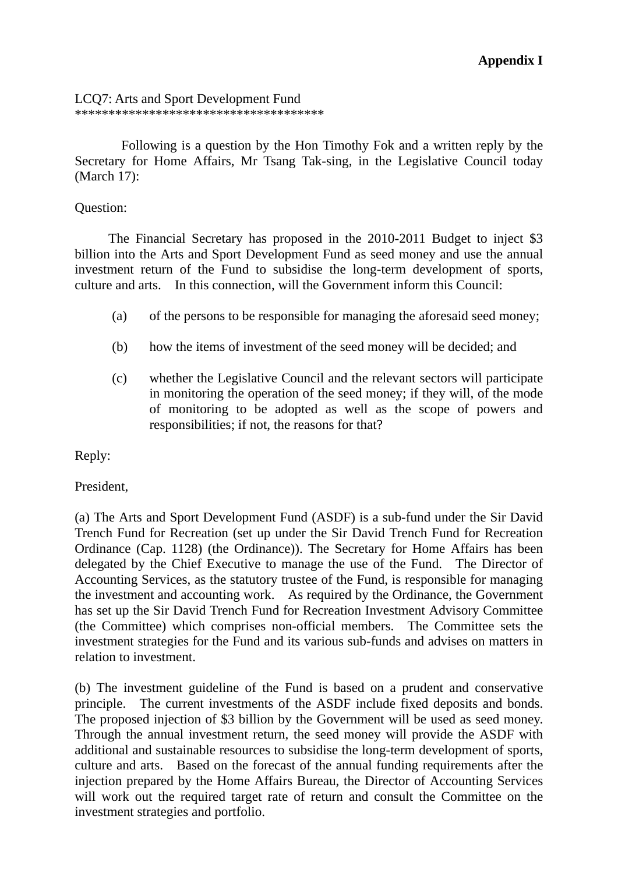#### LCQ7: Arts and Sport Development Fund

\*\*\*\*\*\*\*\*\*\*\*\*\*\*\*\*\*\*\*\*\*\*\*\*\*\*\*\*\*\*\*\*\*\*\*\*\*

 Following is a question by the Hon Timothy Fok and a written reply by the Secretary for Home Affairs, Mr Tsang Tak-sing, in the Legislative Council today (March 17):

#### Question:

 The Financial Secretary has proposed in the 2010-2011 Budget to inject \$3 billion into the Arts and Sport Development Fund as seed money and use the annual investment return of the Fund to subsidise the long-term development of sports, culture and arts. In this connection, will the Government inform this Council:

- (a) of the persons to be responsible for managing the aforesaid seed money;
- (b) how the items of investment of the seed money will be decided; and
- (c) whether the Legislative Council and the relevant sectors will participate in monitoring the operation of the seed money; if they will, of the mode of monitoring to be adopted as well as the scope of powers and responsibilities; if not, the reasons for that?

Reply:

President,

(a) The Arts and Sport Development Fund (ASDF) is a sub-fund under the Sir David Trench Fund for Recreation (set up under the Sir David Trench Fund for Recreation Ordinance (Cap. 1128) (the Ordinance)). The Secretary for Home Affairs has been delegated by the Chief Executive to manage the use of the Fund. The Director of Accounting Services, as the statutory trustee of the Fund, is responsible for managing the investment and accounting work. As required by the Ordinance, the Government has set up the Sir David Trench Fund for Recreation Investment Advisory Committee (the Committee) which comprises non-official members. The Committee sets the investment strategies for the Fund and its various sub-funds and advises on matters in relation to investment.

(b) The investment guideline of the Fund is based on a prudent and conservative principle. The current investments of the ASDF include fixed deposits and bonds. The proposed injection of \$3 billion by the Government will be used as seed money. Through the annual investment return, the seed money will provide the ASDF with additional and sustainable resources to subsidise the long-term development of sports, culture and arts. Based on the forecast of the annual funding requirements after the injection prepared by the Home Affairs Bureau, the Director of Accounting Services will work out the required target rate of return and consult the Committee on the investment strategies and portfolio.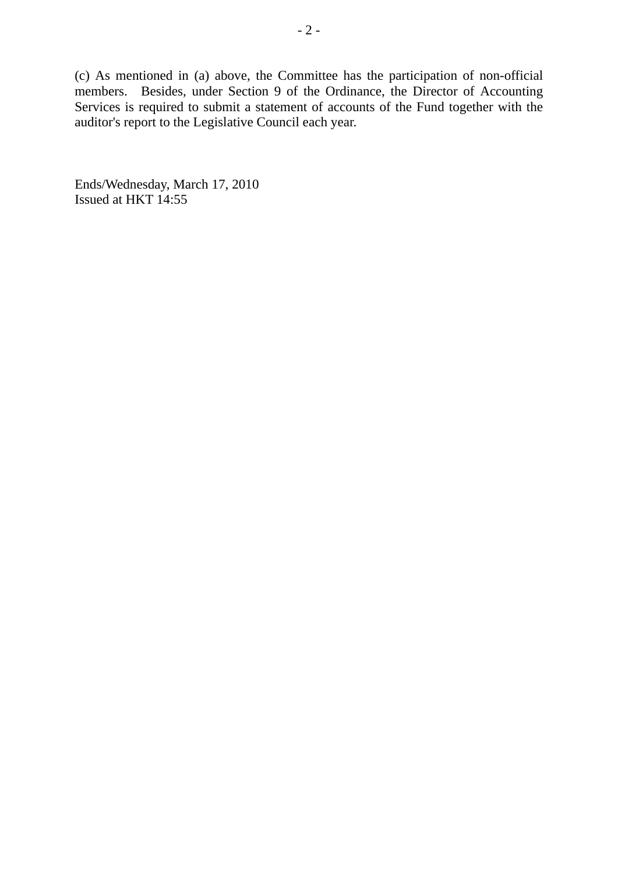(c) As mentioned in (a) above, the Committee has the participation of non-official members. Besides, under Section 9 of the Ordinance, the Director of Accounting Services is required to submit a statement of accounts of the Fund together with the auditor's report to the Legislative Council each year.

Ends/Wednesday, March 17, 2010 Issued at HKT 14:55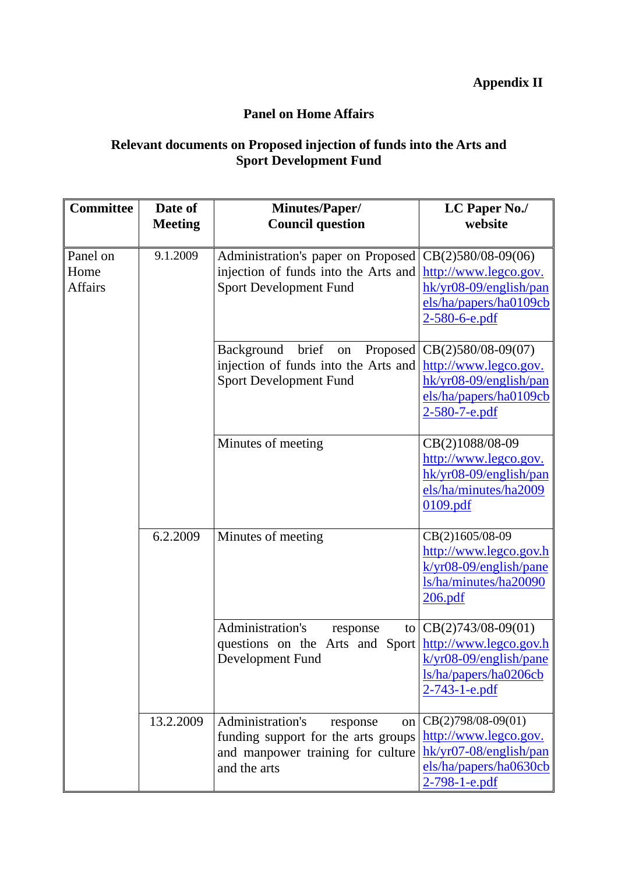# **Appendix II**

# **Panel on Home Affairs**

# **Relevant documents on Proposed injection of funds into the Arts and Sport Development Fund**

| <b>Committee</b>                   | Date of<br><b>Meeting</b> | <b>Minutes/Paper/</b><br><b>Council question</b>                                                                               | LC Paper No./<br>website                                                                                                    |
|------------------------------------|---------------------------|--------------------------------------------------------------------------------------------------------------------------------|-----------------------------------------------------------------------------------------------------------------------------|
| Panel on<br>Home<br><b>Affairs</b> | 9.1.2009                  | Administration's paper on Proposed<br>injection of funds into the Arts and<br><b>Sport Development Fund</b>                    | $CB(2)580/08-09(06)$<br>http://www.legco.gov.<br>hk/yr08-09/english/pan<br>els/ha/papers/ha0109cb<br>$2 - 580 - 6 - e$ .pdf |
|                                    |                           | brief<br><b>Background</b><br>Proposed<br>on<br>injection of funds into the Arts and<br><b>Sport Development Fund</b>          | $CB(2)580/08-09(07)$<br>http://www.legco.gov.<br>hk/yr08-09/english/pan<br>els/ha/papers/ha0109cb<br>2-580-7-e.pdf          |
|                                    |                           | Minutes of meeting                                                                                                             | CB(2)1088/08-09<br>http://www.legco.gov.<br>hk/yr08-09/english/pan<br>els/ha/minutes/ha2009<br>0109.pdf                     |
|                                    | 6.2.2009                  | Minutes of meeting                                                                                                             | CB(2)1605/08-09<br>http://www.legco.gov.h<br>$k/yr08-09/english/pane$<br>ls/ha/minutes/ha20090<br>206.pdf                   |
|                                    |                           | Administration's<br>response<br>to<br>questions on the Arts and Sport   http://www.legco.gov.h<br>Development Fund             | $CB(2)743/08-09(01)$<br>$k/yr08-09/english/pane$<br>ls/ha/papers/ha0206cb<br>2-743-1-e.pdf                                  |
|                                    | 13.2.2009                 | Administration's<br>response<br>on<br>funding support for the arts groups<br>and manpower training for culture<br>and the arts | $CB(2)798/08-09(01)$<br>http://www.legco.gov.<br>hk/yr07-08/english/pan<br>els/ha/papers/ha0630cb<br>$2 - 798 - 1 - e$ .pdf |